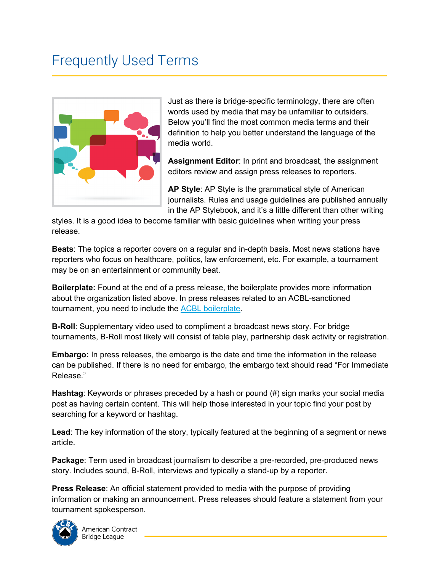## Frequently Used Terms



Just as there is bridge-specific terminology, there are often words used by media that may be unfamiliar to outsiders. Below you'll find the most common media terms and their definition to help you better understand the language of the media world.

**Assignment Editor**: In print and broadcast, the assignment editors review and assign press releases to reporters.

**AP Style**: AP Style is the grammatical style of American journalists. Rules and usage guidelines are published annually in the AP Stylebook, and it's a little different than other writing

styles. It is a good idea to become familiar with basic guidelines when writing your press release.

**Beats**: The topics a reporter covers on a regular and in-depth basis. Most news stations have reporters who focus on healthcare, politics, law enforcement, etc. For example, a tournament may be on an entertainment or community beat.

**Boilerplate:** Found at the end of a press release, the boilerplate provides more information about the organization listed above. In press releases related to an ACBL-sanctioned tournament, you need to include the [ACBL boilerplate](https://web2.acbl.org/documentlibrary/marketing/media_matters/acbl_boilerplate.docx).

**B-Roll**: Supplementary video used to compliment a broadcast news story. For bridge tournaments, B-Roll most likely will consist of table play, partnership desk activity or registration.

**Embargo:** In press releases, the embargo is the date and time the information in the release can be published. If there is no need for embargo, the embargo text should read "For Immediate Release."

**Hashtag**: Keywords or phrases preceded by a hash or pound (#) sign marks your social media post as having certain content. This will help those interested in your topic find your post by searching for a keyword or hashtag.

**Lead**: The key information of the story, typically featured at the beginning of a segment or news article.

**Package**: Term used in broadcast journalism to describe a pre-recorded, pre-produced news story. Includes sound, B-Roll, interviews and typically a stand-up by a reporter.

**Press Release**: An official statement provided to media with the purpose of providing information or making an announcement. Press releases should feature a statement from your tournament spokesperson.